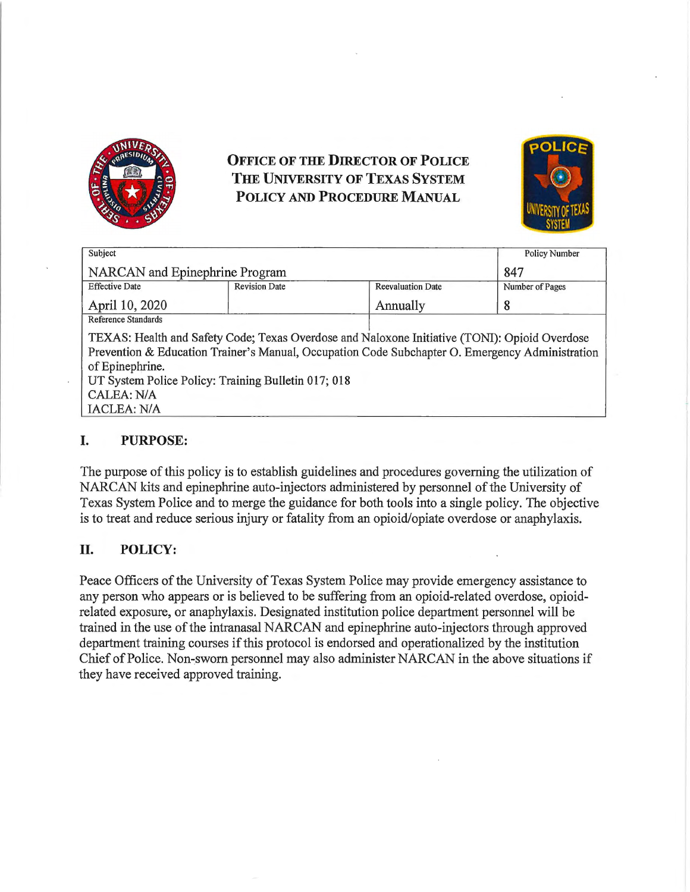

# **OFFICE OF THE DIRECTOR OF POLICE THE UNIVERSITY OF TEXAS SYSTEM POLICY AND PROCEDURE MANUAL**



| Subject                                                                                         |                      |                          | <b>Policy Number</b> |
|-------------------------------------------------------------------------------------------------|----------------------|--------------------------|----------------------|
| <b>NARCAN</b> and Epinephrine Program                                                           |                      |                          | 847                  |
| <b>Effective Date</b>                                                                           | <b>Revision Date</b> | <b>Reevaluation Date</b> | Number of Pages      |
| April 10, 2020                                                                                  |                      | Annually                 | 8                    |
| Reference Standards                                                                             |                      |                          |                      |
| TEXAS: Health and Safety Code; Texas Overdose and Naloxone Initiative (TONI): Opioid Overdose   |                      |                          |                      |
| Prevention & Education Trainer's Manual, Occupation Code Subchapter O. Emergency Administration |                      |                          |                      |
| of Epinephrine.                                                                                 |                      |                          |                      |
| UT System Police Policy: Training Bulletin 017; 018                                             |                      |                          |                      |
| CALEA: N/A                                                                                      |                      |                          |                      |

# **I. PURPOSE:**

IACLEA: NIA

The purpose of this policy is to establish guidelines and procedures governing the utilization of NARCAN kits and epinephrine auto-injectors administered by personnel of the University of Texas System Police and to merge the guidance for both tools into a single policy. The objective is to treat and reduce serious injury or fatality from an opioid/opiate overdose or anaphylaxis.

#### **II. POLICY:**

Peace Officers of the University of Texas System Police may provide emergency assistance to any person who appears or is believed to be suffering from an opioid-related overdose, opioidrelated exposure, or anaphylaxis. Designated institution police department personnel will be trained in the use of the intranasal NARCAN and epinephrine auto-injectors through approved department training courses if this protocol is endorsed and operationalized by the institution Chief of Police. Non-sworn personnel may also administer NARCAN in the above situations if they have received approved training.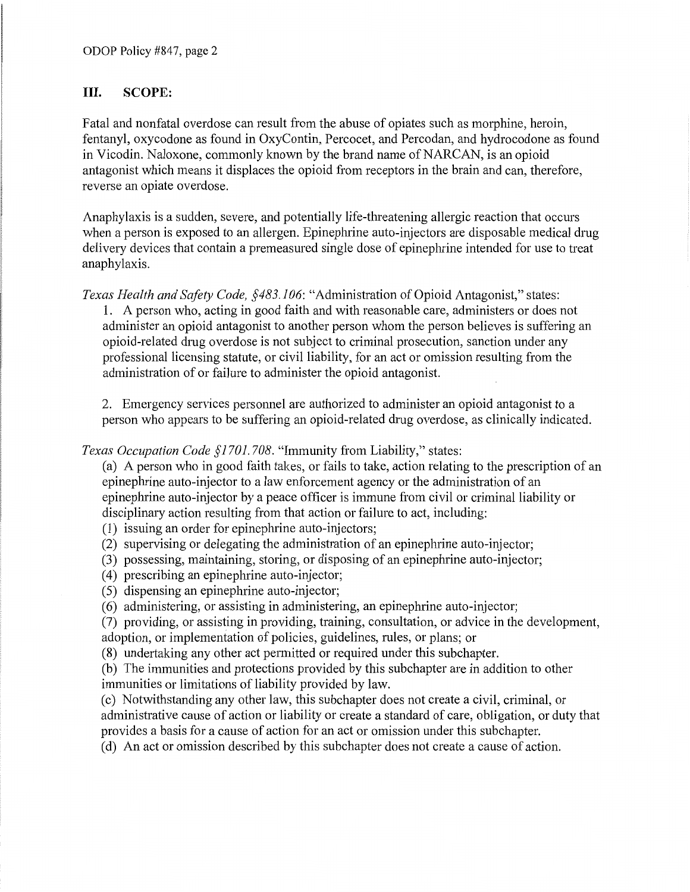### **III. SCOPE:**

Fatal and nonfatal overdose can result from the abuse of opiates such as morphine, heroin, fentanyl, oxycodone as found in OxyContin, Percocet, and Percodan, and hydrocodone as found in Vicodin. Naloxone, commonly known by the brand name of NARCAN, is an opioid antagonist which means it displaces the opioid from receptors in the brain and can, therefore, reverse an opiate overdose.

Anaphylaxis is a sudden, severe, and potentially life-threatening allergic reaction that occurs when a person is exposed to an allergen. Epinephrine auto-injectors are disposable medical drug delivery devices that contain a premeasured single dose of epinephrine intended for use to treat anaphylaxis.

*Texas Health and Safety Code, §483.106:* "Administration of Opioid Antagonist," states:

1. A person who, acting in good faith and with reasonable care, administers or does not administer an opioid antagonist to another person whom the person believes is suffering an opioid-related drug overdose is not subject to criminal prosecution, sanction under any professional licensing statute, or civil liability, for an act or omission resulting from the administration of or failure to administer the opioid antagonist.

2. Emergency services personnel are authorized to administer an opioid antagonist to a person who appears to be suffering an opioid-related drug overdose, as clinically indicated.

*Texas Occupation Code §1701. 708.* "Immunity from Liability," states:

(a) A person who in good faith takes, or fails to take, action relating to the prescription of an epinephrine auto-injector to a law enforcement agency or the administration of an epinephrine auto-injector by a peace officer is immune from civil or criminal liability or disciplinary action resulting from that action or failure to act, including:

- (1) issuing an order for epinephrine auto-injectors;
- (2) supervising or delegating the administration of an epinephrine auto-injector;
- (3) possessing, maintaining, storing, or disposing of an epinephrine auto-injector;
- ( 4) prescribing an epinephrine auto-injector;
- (5) dispensing an epinephrine auto-injector;
- (6) administering, or assisting in administering, an epinephrine auto-injector;

(7) providing, or assisting in providing, training, consultation, or advice in the development, adoption, or implementation of policies, guidelines, rules, or plans; or

(8) undertaking any other act permitted or required under this subchapter.

(b) The immunities and protections provided by this subchapter are in addition to other immunities or limitations of liability provided by law.

(c) Notwithstanding any other law, this subchapter does not create a civil, criminal, or administrative cause of action or liability or create a standard of care, obligation, or duty that provides a basis for a cause of action for an act or omission under this subchapter.

(d) An act or omission described by this subchapter does not create a cause of action.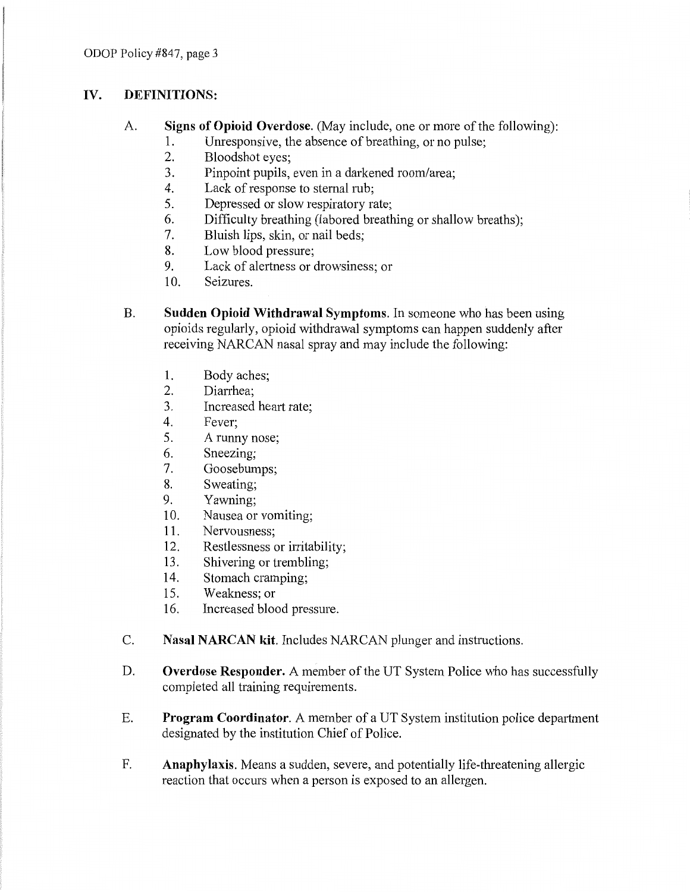## **IV. DEFINITIONS:**

- A. **Signs of Opioid Overdose.** (May include, one or more of the following):
	- 1. Umesponsive, the absence of breathing, or no pulse;
	- 2. Bloodshot eyes;
	- 3. Pinpoint pupils, even in a darkened room/area;
	- 4. Lack of response to sternal rub;
	- 5. Depressed or slow respiratory rate;
	- 6. Difficulty breathing (labored breathing or shallow breaths);
	- 7. Bluish lips, skin, or nail beds;
	- 8. Low blood pressure;
	- 9. Lack of alertness or drowsiness; or
	- 10. Seizures.
- B. **Sudden Opioid Withdrawal Symptoms.** In someone who has been using opioids regularly, opioid withdrawal symptoms can happen suddenly after receiving NARCAN nasal spray and may include the following:
	- 1. Body aches;
	- 2. Diarrhea;
	- 3. Increased heart rate;
	- 4. Fever;
	- 5. A runny nose;
	- 6. Sneezing;
	- 7. Goosebumps;
	- 8. Sweating;
	- 9. Yawning;
	- 10. Nausea or vomiting;
	- 11. Nervousness;
	- 12. Restlessness or irritability;
	- 13. Shivering or trembling;
	- 14. Stomach cramping;
	- 15. Weakness; or
	- 16. Increased blood pressure.
- C. **Nasal NARCAN kit.** Includes NARCAN plunger and instructions.
- D. **Overdose Responder.** A member of the UT System Police who has successfully completed all training requirements.
- E. Program Coordinator. A member of a UT System institution police department designated by the institution Chief of Police.
- F. **Anaphylaxis.** Means a sudden, severe, and potentially life-threatening allergic reaction that occurs when a person is exposed to an allergen.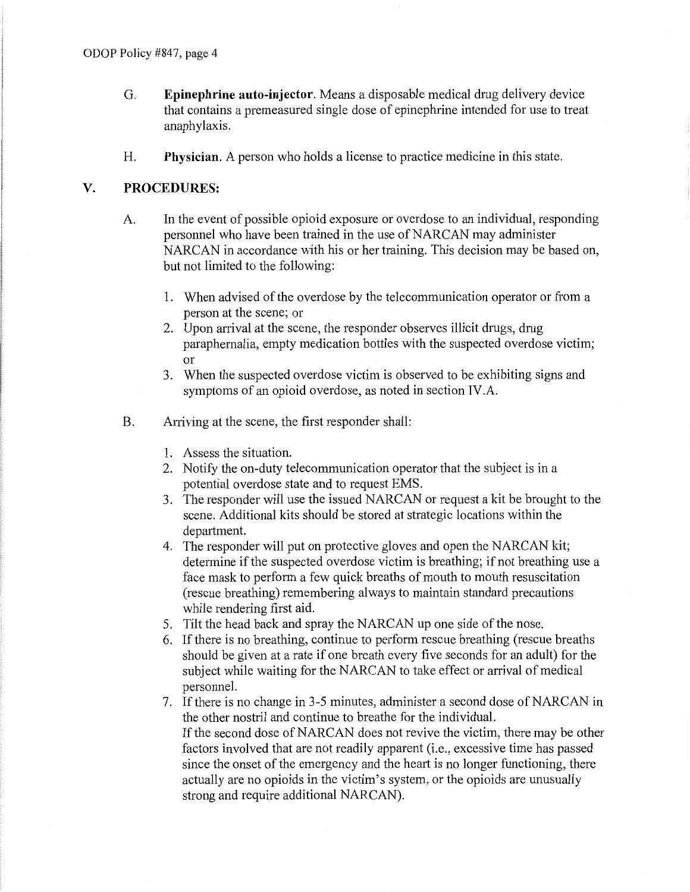- G. **Epinephrine auto-injector.** Means a disposable medical drug delivery device that contains a premeasured single dose of epinephrine intended for use to treat anaphylaxis.
- H. **Physician.** A person who holds a license to practice medicine in this state.

#### **V. PROCEDURES:**

- A. In the event of possible opioid exposure or overdose to an individual, responding personnel who have been trained in the use of NARCAN may administer NARCAN in accordance with his or her training. This decision may be based on, but not limited to the following:
	- 1. When advised of the overdose by the telecommunication operator or from a person at the scene; or
	- 2. Upon arrival at the scene, the responder observes illicit drugs, drug paraphernalia, empty medication bottles with the suspected overdose victim; or
	- 3. When the suspected overdose victim is observed to be exhibiting signs and symptoms of an opioid overdose, as noted in section IV.A.
- B. Arriving at the scene, the first responder shall:
	- 1. Assess the situation.
	- 2. Notify the on-duty telecommunication operator that the subject is in a potential overdose state and to request EMS.
	- 3. The responder will use the issued NARCAN or request a kit be brought to the scene. Additional kits should be stored at strategic locations within the department.
	- 4. The responder will put on protective gloves and open the NARCAN kit; determine if the suspected overdose victim is breathing; if not breathing use a face mask to perform a few quick breaths of mouth to mouth resuscitation (rescue breathing) remembering always to maintain standard precautions while rendering first aid.
	- 5. Tilt the head back and spray the NARCAN up one side of the nose.
	- 6. If there is no breathing, continue to perform rescue breathing (rescue breaths should be given at a rate if one breath every five seconds for an adult) for the subject while waiting for the NARCAN to take effect or arrival of medical personnel.
	- 7. If there is no change in 3-5 minutes, administer a second dose of NARCAN in the other nostril and continue to breathe for the individual. If the second dose of NARCAN does not revive the victim, there may be other factors involved that are not readily apparent (i.e., excessive time has passed since the onset of the emergency and the heart is no longer functioning, there actually are no opioids in the victim's system, or the opioids are unusually strong and require additional NARCAN).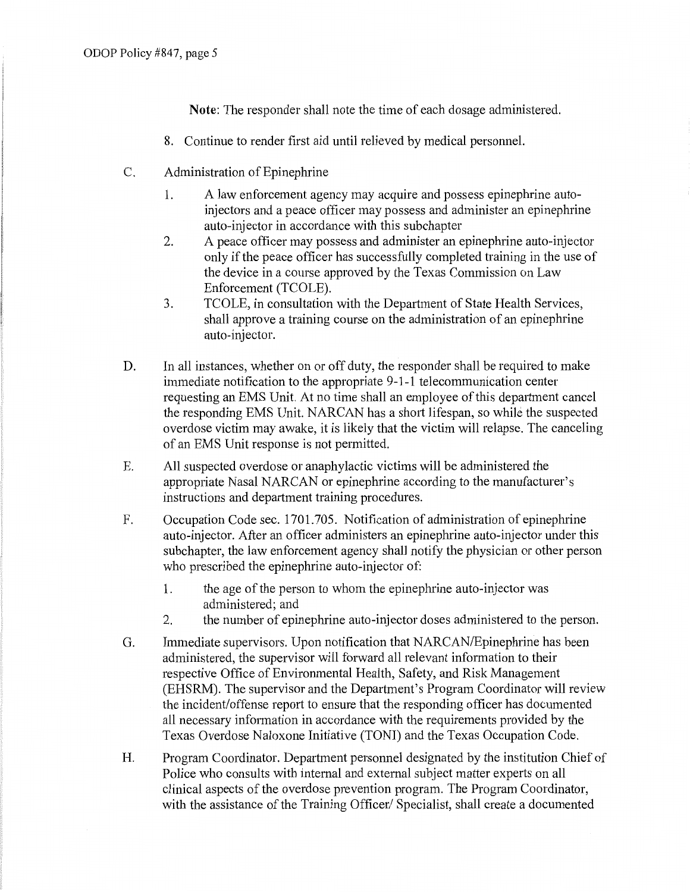**Note:** The responder shall note the time of each dosage administered.

- 8. Continue to render first aid until relieved by medical personnel.
- C. Administration of Epinephrine
	- 1. A law enforcement agency may acquire and possess epinephrine autoinjectors and a peace officer may possess and administer an epinephrine auto-injector in accordance with this subchapter
	- 2. A peace officer may possess and administer an epinephrine auto-injector only if the peace officer has successfully completed training in the use of the device in a course approved by the Texas Commission on Law Enforcement (TCOLE).
	- 3. TCOLE, in consultation with the Department of State Health Services, shall approve a training course on the administration of an epinephrine auto-injector.
- D. In all instances, whether on or off duty, the responder shall be required to make immediate notification to the appropriate 9-1-1 telecommunication center requesting an EMS Unit. At no time shall an employee of this department cancel the responding EMS Unit. NARCAN has a short lifespan, so while the suspected overdose victim may awake, it is likely that the victim will relapse. The canceling of an EMS Unit response is not permitted.
- E. All suspected overdose or anaphylactic victims will be administered the appropriate Nasal NARCAN or epinephrine according to the manufacturer's instructions and department training procedures.
- F. Occupation Code sec. 1701.705. Notification of administration of epinephrine auto-injector. After an officer administers an epinephrine auto-injector under this subchapter, the law enforcement agency shall notify the physician or other person who prescribed the epinephrine auto-injector of:
	- 1. the age of the person to whom the epinephrine auto-injector was administered; and
	- 2. the number of epinephrine auto-injector doses administered to the person.
- G. Immediate supervisors. Upon notification that NARCAN/Epinephrine has been administered, the supervisor will forward all relevant information to their respective Office of Environmental Health, Safety, and Risk Management (EHSRM). The supervisor and the Department's Program Coordinator will review the incident/offense report to ensure that the responding officer has documented all necessary information in accordance with the requirements provided by the Texas Overdose Naloxone Initiative (TONI) and the Texas Occupation Code.
- H. Program Coordinator. Department personnel designated by the institution Chief of Police who consults with internal and external subject matter experts on all clinical aspects of the overdose prevention program. The Program Coordinator, with the assistance of the Training Officer/ Specialist, shall create a documented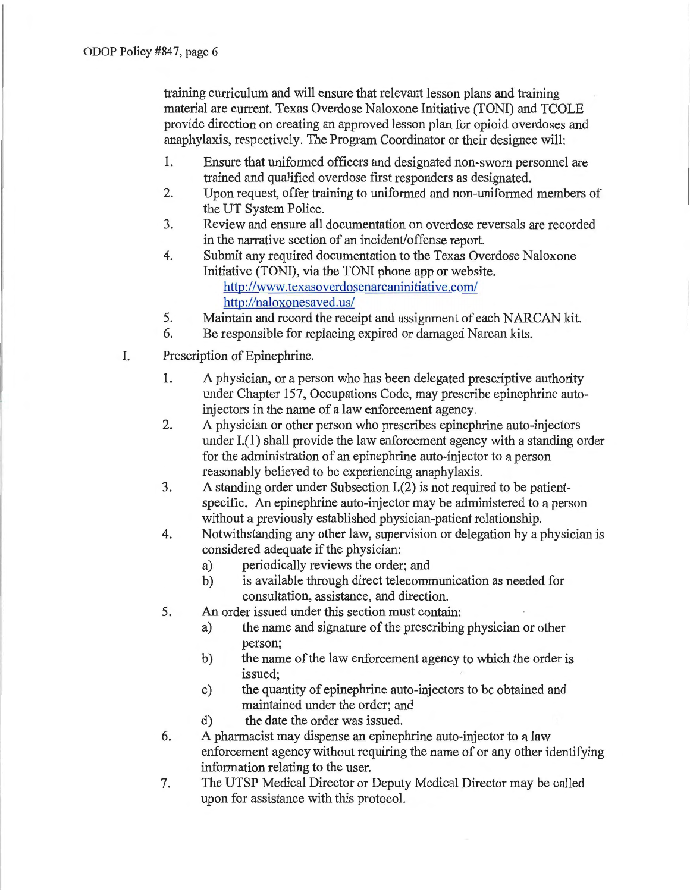training curriculum and will ensure that relevant lesson plans and training material are current. Texas Overdose Naloxone Initiative (TONI) and TCOLE provide direction on creating an approved lesson plan for opioid overdoses and anaphylaxis, respectively. The Program Coordinator or their designee will:

- 1. Ensure that uniformed officers and designated non-sworn personnel are trained and qualified overdose first responders as designated.
- 2. Upon request, offer training to uniformed and non-uniformed members of the UT System Police.
- 3. Review and ensure all documentation on overdose reversals are recorded in the narrative section of an incident/offense report.
- 4. Submit any required documentation to the Texas Overdose Naloxone Initiative (TONI), via the TONI phone app or website. http://www.texasoverdosenarcaninitiative.com/ http://naloxonesaved.us/
- 5. Maintain and record the receipt and assignment of each NARCAN kit.
- 6. Be responsible for replacing expired or damaged Narcan kits.
- I. Prescription of Epinephrine.
	- 1. A physician, or a person who has been delegated prescriptive authority under Chapter 157, Occupations Code, may prescribe epinephrine autoinjectors in the name of a law enforcement agency.
	- 2. A physician or other person who prescribes epinephrine auto-injectors under 1.(1) shall provide the law enforcement agency with a standing order for the administration of an epinephrine auto-iajector to a person reasonably believed to be experiencing anaphylaxis.
	- 3. A standing order under Subsection 1.(2) is not required to be patientspecific. An epinephrine auto-injector may be administered to a person without a previously established physician-patient relationship.
	- 4. Notwithstanding any other law, supervision or delegation by a physician is considered adequate if the physician:
		- a) periodically reviews the order; and
		- b) is available through direct telecommunication as needed for consultation, assistance, and direction.
	- 5. An order issued under this section must contain:
		- a) the name and signature of the prescribing physician or other person;
		- b) the name of the law enforcement agency to which the order is issued;
		- c) the quantity of epinephrine auto-injectors to be obtained and maintained under the order; and
		- d) the date the order was issued.
	- 6. A pharmacist may dispense an epinephrine auto-injector to a law enforcement agency without requiring the name of or any other identifying information relating to the user.
	- 7. The UTSP Medical Director or Deputy Medical Director may be called upon for assistance with this protocol.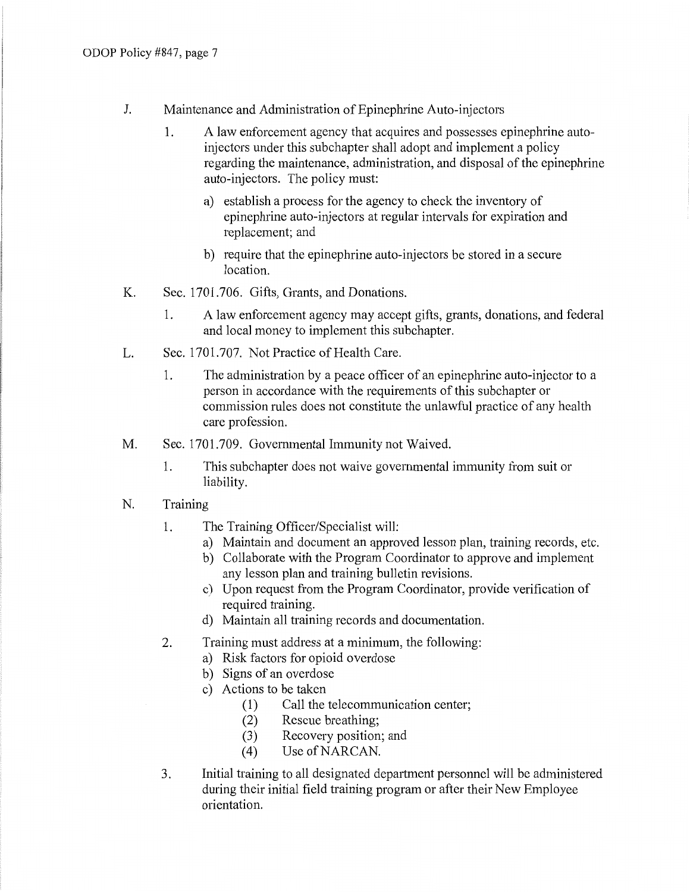- J. Maintenance and Administration of Epinephrine Auto-injectors
	- 1. A law enforcement agency that acquires and possesses epinephrine autoinjectors under this subchapter shall adopt and implement a policy regarding the maintenance, administration, and disposal of the epinephrine auto-injectors. The policy must:
		- a) establish a process for the agency to check the inventory of epinephrine auto-injectors at regular intervals for expiration and replacement; and
		- b) require that the epinephrine auto-injectors be stored in a secure location.
- K. Sec. 1701.706. Gifts, Grants, and Donations.
	- 1. A law enforcement agency may accept gifts, grants, donations, and federal and local money to implement this subchapter.
- L. Sec. 1701.707. Not Practice of Health Care.
	- 1. The administration by a peace officer of an epinephrine auto-injector to a person in accordance with the requirements of this subchapter or commission rules does not constitute the unlawful practice of any health care profession.
- M. Sec. 1701.709. Governmental Immunity not Waived.
	- 1. This subchapter does not waive govemmental immunity from suit or liability.
- N. Training
	- 1. The Training Officer/Specialist will:
		- a) Maintain and document an approved lesson plan, training records, etc.
		- b) Collaborate with the Program Coordinator to approve and implement any lesson plan and training bulletin revisions.
		- c) Upon request from the Program Coordinator, provide verification of required training.
		- d) Maintain all training records and documentation.
	- 2. Training must address at a minimum, the following:
		- a) Risk factors for opioid overdose
		- b) Signs of an overdose
		- c) Actions to be taken
			- (1) Call the telecommunication center;
			- (2) Rescue breathing;
			- (3) Recovery position; and
			- (4) Use of NARCAN.
	- 3. Initial training to all designated department personnel will be administered during their initial field training program or after their New Employee orientation.